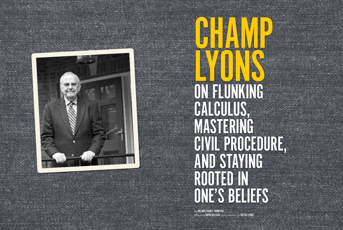*By* MELINDA RAINEY THOMPSON *Photos by* DAVID HILLEGAS *and provided by* JUSTICE LYONS





CHAMP LYONS AND ON FLUNKING CALCULUS, MASTERING CIVIL PROCEDURE, AND STAYING ROOTED IN ONE'S BELIEFS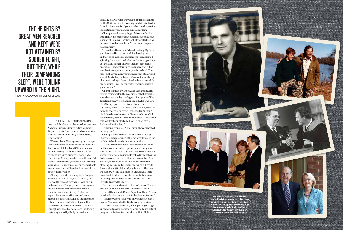

HE FIRST TIME I MET CHAMP LYONS, I realized that he is much more than a former Alabama Supreme Court justice and an un disputed lion in Alabama's legal community. He's also clever, charming, and wickedly entertaining.

We met about fifteen years ago at a recep tion in one of my favorite places in the world, The Grand Hotel in Point Clear, Alabama. I was attending the Mobile Bench and Bar weekend with my husband, an appellate court judge. Champ regaled me with colorful stories about the lawyers and judges milling around us. His keen intellect and remarkable memory for the smallest details make him a powerful storyteller.

Champ comes from a long line of judges and doctors. His father, Dr. Champ Lyons, changed the face of medicine. Look him up in the Annals of Surgery. I'm not exaggerat ing. He was one of the most esteemed sur geons in Alabama's history. Dr. Lyons began his career as a Harvard-educated microbiologist. He developed the first proto cols for the administration of penicillin to wounded WWII servicemen. This breakthrough was possible because of the dosing regimen gleaned by Dr. Lyons and his

teaching fellows when they treated burn patients after the 1942 Cocoanut Grove nightclub fire in Boston. Later in his career, Dr. Lyons also became known for innovations in vascular and cardiac surgery.

Champ knew he was going to follow the family tradition in law rather than medicine when he was a senior at Ramsay High School. He recalls the day he was allowed to watch his father perform openheart surgery:

"I could see the woman's heart beating. My father got his scalpel in rhythm with her beating heart, and just as he made the incision, the room started spinning. I went out in the hall and fainted, got back up, and went back in and watched the rest of the operation. I was determined to survive that. That was the first step along the way to law school. The real epiphany came my sophomore year at Harvard when I flunked second-year calculus. I wrote in my blue book to the professor, 'By the time you read this examination, I will be concentrating in American government.'"

Champ's father, Dr. Lyons, was demanding. His former residents laud him as brilliant but describe a residency under his tutelage as "four years of The Junction Boys." That's a simile rabid Alabama fans like Champ Lyons recognize with a wince.

One day when Champ was a law student, he came home to see his family and share exciting news. As his father drove them to the Mountain Brook Club to eat Sunday lunch, Champ announced, "I want you to know I've been elected editor-in-chief of The Alabama Law Review!"

Dr. Lyons' response: "Son, I would have expected nothing less."

Champ's father died of a brain tumor at age 58. His son, Champ, learned of his father's illness in the middle of the three-day bar examination.

"It was 10 minutes before the afternoon session on the second day when I got an emergency phone call. Dr. Katrina McArthur told me: 'Your father has a brain tumor, and you need to get to Birmingham as fast as you can.' I asked if I had an hour or two. She said yes, so I took criminal law and common law pleading in 45 minutes, got in my car, and drove to Birmingham. We visited a long time, and I learned the surgery would take place in a few days. I then drove back to Montgomery to finish the bar exam, fell asleep at the wheel, and drifted off the road. Luckily, I passed the bar."

During the last stage of Dr. Lyons' illness, Champ's brother, Joe Lyons, ran into Coach Paul "Bear" Bryant at the airport. Coach Bryant told him: "Every man has his heroes, and your father is one of mine."

"I feel sorry for people who only believe in coinci dences," Lyons said reflectively in our interview.

"I think things have a way of happening through an ordained power. For example, we had a sabbatical program in the law firm I worked with in Mobile.

## THE HEIGHTS BY GREAT MEN REACHED AND KEPT WERE NOT ATTAINED BY SUDDEN FLIGHT, BUT THEY, WHILE THEIR COMPANIONS SLEPT, WERE TOILING UPWARD IN THE NIGHT. HENRY WADSWORTH LONGFELLOW